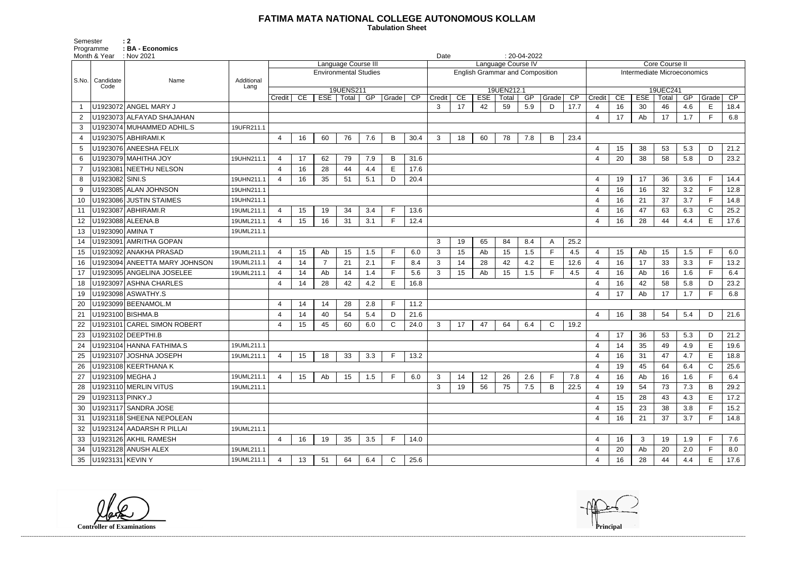## **FATIMA MATA NATIONAL COLLEGE AUTONOMOUS KOLLAM**

 **Tabulation Sheet** 

Semester : 2 Programme : **BA - Economics** 

|                |                   | Month & Year : Nov 2021       |                    |                     |    |    |                          |                              |              |                 |                                        | $: 20-04-2022$<br>Date |            |                     |     |             |      |                          |                             |            |                   |     |              |      |  |
|----------------|-------------------|-------------------------------|--------------------|---------------------|----|----|--------------------------|------------------------------|--------------|-----------------|----------------------------------------|------------------------|------------|---------------------|-----|-------------|------|--------------------------|-----------------------------|------------|-------------------|-----|--------------|------|--|
|                |                   |                               |                    | Language Course III |    |    |                          |                              |              |                 | Language Course IV                     |                        |            |                     |     |             |      |                          | <b>Core Course II</b>       |            |                   |     |              |      |  |
|                |                   |                               |                    |                     |    |    |                          | <b>Environmental Studies</b> |              |                 | <b>English Grammar and Composition</b> |                        |            |                     |     |             |      |                          | Intermediate Microeconomics |            |                   |     |              |      |  |
| S.No.          | Candidate<br>Code | Name                          | Additional<br>Lang |                     |    |    |                          |                              |              |                 |                                        |                        |            |                     |     |             |      |                          |                             |            |                   |     |              |      |  |
|                |                   |                               |                    | Credit              | CE |    | 19UENS211<br>ESE   Total | $\overline{\text{GP}}$       | Grade        | $\overline{CP}$ | Credit                                 | CE                     | <b>ESE</b> | 19UEN212.1<br>Total | GP  | Grade       | CP   | Credit                   | CE                          | <b>ESE</b> | 19UEC241<br>Total | GP  | Grade        | CP   |  |
|                |                   | U1923072 ANGEL MARY J         |                    |                     |    |    |                          |                              |              |                 | 3                                      | 17                     | 42         | 59                  | 5.9 | D           | 17.7 | $\overline{4}$           | 16                          | 30         | 46                | 4.6 | E            | 18.4 |  |
| $\overline{2}$ |                   | U1923073 ALFAYAD SHAJAHAN     |                    |                     |    |    |                          |                              |              |                 |                                        |                        |            |                     |     |             |      | -4                       | 17                          | Ab         | 17                | 1.7 | Е            | 6.8  |  |
| 3              |                   | U1923074 MUHAMMED ADHIL.S     | 19UFR211.1         |                     |    |    |                          |                              |              |                 |                                        |                        |            |                     |     |             |      |                          |                             |            |                   |     |              |      |  |
| 4              |                   | U1923075 ABHIRAMI.K           |                    | 4                   | 16 | 60 | 76                       | 7.6                          | B            | 30.4            | $\mathbf{3}$                           | 18                     | 60         | 78                  | 7.8 | B           | 23.4 |                          |                             |            |                   |     |              |      |  |
| 5              |                   | U1923076 ANEESHA FELIX        |                    |                     |    |    |                          |                              |              |                 |                                        |                        |            |                     |     |             |      | $\overline{\mathcal{A}}$ | 15                          | 38         | 53                | 5.3 | D            | 21.2 |  |
| 6              |                   | U1923079 MAHITHA JOY          | 19UHN211.1         | $\overline{4}$      | 17 | 62 | 79                       | 7.9                          | B            | 31.6            |                                        |                        |            |                     |     |             |      | $\overline{4}$           | 20                          | 38         | 58                | 5.8 | D            | 23.2 |  |
|                |                   | U1923081 NEETHU NELSON        |                    | $\overline{4}$      | 16 | 28 | 44                       | 4.4                          | E            | 17.6            |                                        |                        |            |                     |     |             |      |                          |                             |            |                   |     |              |      |  |
| 8              | U1923082 SINI.S   |                               | 19UHN211.1         | $\overline{4}$      | 16 | 35 | 51                       | 5.1                          | D            | 20.4            |                                        |                        |            |                     |     |             |      | $\overline{4}$           | 19                          | 17         | 36                | 3.6 | E            | 14.4 |  |
| 9              |                   | U1923085 ALAN JOHNSON         | 19UHN211.1         |                     |    |    |                          |                              |              |                 |                                        |                        |            |                     |     |             |      | $\overline{4}$           | 16                          | 16         | 32                | 3.2 |              | 12.8 |  |
| 10             |                   | U1923086 JUSTIN STAIMES       | 19UHN211.1         |                     |    |    |                          |                              |              |                 |                                        |                        |            |                     |     |             |      | $\overline{4}$           | 16                          | 21         | 37                | 3.7 | E            | 14.8 |  |
| 11             |                   | U1923087 ABHIRAMI.R           | 19UML211.1         | 4                   | 15 | 19 | 34                       | 3.4                          | Е            | 13.6            |                                        |                        |            |                     |     |             |      | $\overline{4}$           | 16                          | 47         | 63                | 6.3 | C.           | 25.2 |  |
| 12             |                   | U1923088 ALEENA.B             | 19UML211.1         | $\overline{4}$      | 15 | 16 | 31                       | 3.1                          | F            | 12.4            |                                        |                        |            |                     |     |             |      | -4                       | 16                          | 28         | 44                | 4.4 | E            | 17.6 |  |
| 13             | U1923090 AMINA T  |                               | 19UML211.1         |                     |    |    |                          |                              |              |                 |                                        |                        |            |                     |     |             |      |                          |                             |            |                   |     |              |      |  |
| 14             |                   | U1923091 AMRITHA GOPAN        |                    |                     |    |    |                          |                              |              |                 | 3                                      | 19                     | 65         | 84                  | 8.4 | A           | 25.2 |                          |                             |            |                   |     |              |      |  |
| 15             |                   | U1923092 ANAKHA PRASAD        | 19UML211.1         | $\overline{4}$      | 15 | Ab | 15                       | 1.5                          | E            | 6.0             | $\mathbf{3}$                           | 15                     | Ab         | 15                  | 1.5 | $\mathsf F$ | 4.5  | $\overline{4}$           | 15                          | Ab         | 15                | 1.5 | $\mathsf{F}$ | 6.0  |  |
| 16             |                   | U1923094 ANEETTA MARY JOHNSON | 19UML211.1         | $\overline{4}$      | 14 | 7  | 21                       | 2.1                          | Е            | 8.4             | 3                                      | 14                     | 28         | 42                  | 4.2 | Е           | 12.6 | $\overline{4}$           | 16                          | 17         | 33                | 3.3 | E            | 13.2 |  |
| 17             |                   | U1923095 ANGELINA JOSELEE     | 19UML211.1         | $\overline{4}$      | 14 | Ab | 14                       | 1.4                          | E            | 5.6             | 3                                      | 15                     | Ab         | 15                  | 1.5 | F           | 4.5  | $\overline{4}$           | 16                          | Ab         | 16                | 1.6 | Е            | 6.4  |  |
| 18             |                   | U1923097 ASHNA CHARLES        |                    | 4                   | 14 | 28 | 42                       | 4.2                          | E            | 16.8            |                                        |                        |            |                     |     |             |      | $\boldsymbol{\varDelta}$ | 16                          | 42         | 58                | 5.8 | D            | 23.2 |  |
| 19             |                   | U1923098 ASWATHY.S            |                    |                     |    |    |                          |                              |              |                 |                                        |                        |            |                     |     |             |      | $\overline{4}$           | 17                          | Ab         | 17                | 1.7 | Е            | 6.8  |  |
| 20             |                   | U1923099 BEENAMOL.M           |                    | $\overline{4}$      | 14 | 14 | 28                       | 2.8                          | E            | 11.2            |                                        |                        |            |                     |     |             |      |                          |                             |            |                   |     |              |      |  |
| 21             |                   | U1923100 BISHMA.B             |                    | $\overline{4}$      | 14 | 40 | 54                       | 5.4                          | D            | 21.6            |                                        |                        |            |                     |     |             |      | $\overline{4}$           | 16                          | 38         | 54                | 5.4 | D            | 21.6 |  |
| 22             |                   | U1923101 CAREL SIMON ROBERT   |                    | 4                   | 15 | 45 | 60                       | 6.0                          | $\mathsf{C}$ | 24.0            | 3                                      | 17                     | 47         | 64                  | 6.4 | C           | 19.2 |                          |                             |            |                   |     |              |      |  |
| 23             |                   | U1923102 DEEPTHI.B            |                    |                     |    |    |                          |                              |              |                 |                                        |                        |            |                     |     |             |      | $\overline{4}$           | 17                          | 36         | 53                | 5.3 | D            | 21.2 |  |
| 24             |                   | U1923104 HANNA FATHIMA.S      | 19UML211.1         |                     |    |    |                          |                              |              |                 |                                        |                        |            |                     |     |             |      | $\overline{\mathcal{A}}$ | 14                          | 35         | 49                | 4.9 | E            | 19.6 |  |
| 25             |                   | U1923107 JOSHNA JOSEPH        | 19UML211.1         | 4                   | 15 | 18 | 33                       | 3.3                          | F            | 13.2            |                                        |                        |            |                     |     |             |      | 4                        | 16                          | 31         | 47                | 4.7 | E            | 18.8 |  |
| 26             |                   | U1923108 KEERTHANA K          |                    |                     |    |    |                          |                              |              |                 |                                        |                        |            |                     |     |             |      | $\overline{\mathcal{A}}$ | 19                          | 45         | 64                | 6.4 | C.           | 25.6 |  |
| 27             | U1923109 MEGHA J  |                               | 19UML211.1         | $\overline{4}$      | 15 | Ab | 15                       | 1.5                          |              | 6.0             | 3                                      | 14                     | 12         | 26                  | 2.6 | F           | 7.8  | -4                       | 16                          | Ab         | 16                | 1.6 |              | 6.4  |  |
| 28             |                   | U1923110 MERLIN VITUS         | 19UML211.1         |                     |    |    |                          |                              |              |                 | 3                                      | 19                     | 56         | 75                  | 7.5 | B           | 22.5 | 4                        | 19                          | 54         | 73                | 7.3 | B            | 29.2 |  |
| 29             | U1923113 PINKY.J  |                               |                    |                     |    |    |                          |                              |              |                 |                                        |                        |            |                     |     |             |      | $\overline{4}$           | 15                          | 28         | 43                | 4.3 | E.           | 17.2 |  |
| 30             |                   | U1923117 SANDRA JOSE          |                    |                     |    |    |                          |                              |              |                 |                                        |                        |            |                     |     |             |      | $\overline{4}$           | 15                          | 23         | 38                | 3.8 | F.           | 15.2 |  |
| 31             |                   | U1923118 SHEENA NEPOLEAN      |                    |                     |    |    |                          |                              |              |                 |                                        |                        |            |                     |     |             |      | $\overline{4}$           | 16                          | 21         | 37                | 3.7 | F.           | 14.8 |  |
| 32             |                   | U1923124 AADARSH R PILLAI     | 19UML211.1         |                     |    |    |                          |                              |              |                 |                                        |                        |            |                     |     |             |      |                          |                             |            |                   |     |              |      |  |
| 33             |                   | U1923126 AKHIL RAMESH         |                    | $\overline{4}$      | 16 | 19 | 35                       | 3.5                          | F            | 14.0            |                                        |                        |            |                     |     |             |      | $\overline{4}$           | 16                          | 3          | 19                | 1.9 | F            | 7.6  |  |
| 34             |                   | U1923128 ANUSH ALEX           | 19UML211.1         |                     |    |    |                          |                              |              |                 |                                        |                        |            |                     |     |             |      | $\overline{a}$           | 20                          | Ab         | 20                | 2.0 |              | 8.0  |  |
| 35             | U1923131 KEVIN Y  |                               | 19UML211.1         | $\overline{4}$      | 13 | 51 | 64                       | 6.4                          | $\mathsf{C}$ | 25.6            |                                        |                        |            |                     |     |             |      | $\overline{4}$           | 16                          | 28         | 44                | 4.4 | E            | 17.6 |  |

**Controller of Examinations** 

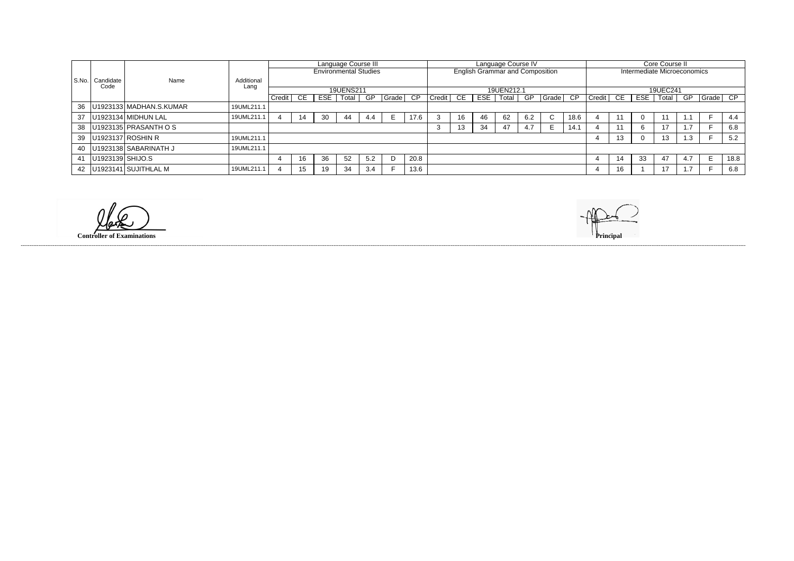|       |                  |                           |            | Language Course III |    |                              |                  |     |       |      |             |    |                                        | Language Course IV |     |       |      |                    |                             |     | Core Course II |     |          |      |  |
|-------|------------------|---------------------------|------------|---------------------|----|------------------------------|------------------|-----|-------|------|-------------|----|----------------------------------------|--------------------|-----|-------|------|--------------------|-----------------------------|-----|----------------|-----|----------|------|--|
|       |                  |                           |            |                     |    | <b>Environmental Studies</b> |                  |     |       |      |             |    | <b>English Grammar and Composition</b> |                    |     |       |      |                    | Intermediate Microeconomics |     |                |     |          |      |  |
| S.No. | Candidate        | Name                      | Additional |                     |    |                              |                  |     |       |      |             |    |                                        |                    |     |       |      |                    |                             |     |                |     |          |      |  |
|       | Code             |                           | Lang       |                     |    |                              | <b>19UENS211</b> |     |       |      |             |    |                                        | 19UEN212.1         |     |       |      | 19UEC241           |                             |     |                |     |          |      |  |
|       |                  |                           |            | Credit              | CE | ESE                          | Total            | GP  | Grade | CP   | Credit   CE |    | ESE                                    | Total              | GP  | Grade | - CP | $Credit$ $C \to C$ |                             | ESE | Total          | GP  | Grade CP |      |  |
| 36    |                  | U1923133 MADHAN.S.KUMAR   | 19UML211.1 |                     |    |                              |                  |     |       |      |             |    |                                        |                    |     |       |      |                    |                             |     |                |     |          |      |  |
| 37    |                  | U1923134 MIDHUN LAL       | 19UML211.1 |                     | 14 | 30                           | 44               | 4.4 |       | 17.6 |             | 16 | 46                                     | 62                 | 6.2 |       | 18.6 |                    |                             |     |                |     |          | 4.4  |  |
| 38    |                  | $ U1923135 $ PRASANTH O S |            |                     |    |                              |                  |     |       |      |             | 13 | 34                                     | 47                 | 4.7 |       | 14.1 |                    |                             |     |                |     |          | 6.8  |  |
| 39    |                  | U1923137 ROSHIN R         | 19UML211.1 |                     |    |                              |                  |     |       |      |             |    |                                        |                    |     |       |      |                    | 13                          |     | 13             | 1.3 |          | 5.2  |  |
| 40    |                  | U1923138 SABARINATH J     | 19UML211.1 |                     |    |                              |                  |     |       |      |             |    |                                        |                    |     |       |      |                    |                             |     |                |     |          |      |  |
| 41    | U1923139 SHIJO.S |                           |            |                     | 16 | 36                           | 52               | 5.2 |       | 20.8 |             |    |                                        |                    |     |       |      |                    | 14                          | 33  | 47             | 4.7 |          | 18.8 |  |
| 42    |                  | U1923141 SUJITHLAL M      | 19UML211.1 |                     | 15 | 19                           | 34               | 3.4 |       | 13.6 |             |    |                                        |                    |     |       |      | 4                  | 16                          |     | 17             |     |          | 6.8  |  |

llake **Controller of Examinations**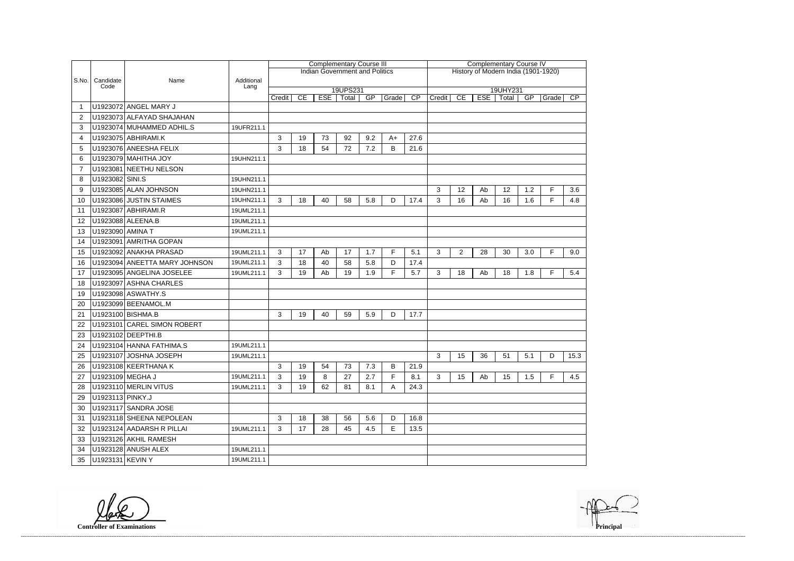|       |                   |                               |                    | <b>Complementary Course III</b> |    |            |                                       |     |       |                                     | <b>Complementary Course IV</b> |                |            |                   |     |       |      |  |  |  |
|-------|-------------------|-------------------------------|--------------------|---------------------------------|----|------------|---------------------------------------|-----|-------|-------------------------------------|--------------------------------|----------------|------------|-------------------|-----|-------|------|--|--|--|
|       |                   |                               |                    |                                 |    |            | <b>Indian Government and Politics</b> |     |       | History of Modern India (1901-1920) |                                |                |            |                   |     |       |      |  |  |  |
| S.No. | Candidate<br>Code | Name                          | Additional<br>Lang |                                 |    |            |                                       |     |       |                                     |                                |                |            |                   |     |       |      |  |  |  |
|       |                   |                               |                    | Credit                          | CE | <b>ESE</b> | 19UPS231<br>Total                     | GP  | Grade | $\overline{CP}$                     | Credit                         | CE             | <b>ESE</b> | 19UHY231<br>Total | GP  | Grade | CP   |  |  |  |
|       |                   | U1923072 ANGEL MARY J         |                    |                                 |    |            |                                       |     |       |                                     |                                |                |            |                   |     |       |      |  |  |  |
| 2     |                   | U1923073 ALFAYAD SHAJAHAN     |                    |                                 |    |            |                                       |     |       |                                     |                                |                |            |                   |     |       |      |  |  |  |
| 3     |                   | U1923074 MUHAMMED ADHIL.S     | 19UFR211.1         |                                 |    |            |                                       |     |       |                                     |                                |                |            |                   |     |       |      |  |  |  |
| 4     |                   | U1923075 ABHIRAMI.K           |                    | 3                               | 19 | 73         | 92                                    | 9.2 | $A+$  | 27.6                                |                                |                |            |                   |     |       |      |  |  |  |
| 5     |                   | U1923076 ANEESHA FELIX        |                    | 3                               | 18 | 54         | 72                                    | 7.2 | B     | 21.6                                |                                |                |            |                   |     |       |      |  |  |  |
| 6     |                   | U1923079 MAHITHA JOY          | 19UHN211.1         |                                 |    |            |                                       |     |       |                                     |                                |                |            |                   |     |       |      |  |  |  |
|       |                   | U1923081 NEETHU NELSON        |                    |                                 |    |            |                                       |     |       |                                     |                                |                |            |                   |     |       |      |  |  |  |
| 8     | U1923082 SINI.S   |                               | 19UHN211.1         |                                 |    |            |                                       |     |       |                                     |                                |                |            |                   |     |       |      |  |  |  |
| 9     |                   | U1923085 ALAN JOHNSON         | 19UHN211.1         |                                 |    |            |                                       |     |       |                                     | 3                              | 12             | Ab         | 12                | 1.2 | F     | 3.6  |  |  |  |
| 10    |                   | U1923086 JUSTIN STAIMES       | 19UHN211.1         | 3                               | 18 | 40         | 58                                    | 5.8 | D     | 17.4                                | 3                              | 16             | Ab         | 16                | 1.6 | F.    | 4.8  |  |  |  |
| 11    |                   | U1923087 ABHIRAMI.R           | 19UML211.1         |                                 |    |            |                                       |     |       |                                     |                                |                |            |                   |     |       |      |  |  |  |
| 12    |                   | U1923088 ALEENA.B             | 19UML211.1         |                                 |    |            |                                       |     |       |                                     |                                |                |            |                   |     |       |      |  |  |  |
| 13    | U1923090 AMINA T  |                               | 19UML211.1         |                                 |    |            |                                       |     |       |                                     |                                |                |            |                   |     |       |      |  |  |  |
| 14    |                   | U1923091 AMRITHA GOPAN        |                    |                                 |    |            |                                       |     |       |                                     |                                |                |            |                   |     |       |      |  |  |  |
| 15    |                   | U1923092 ANAKHA PRASAD        | 19UML211.1         | 3                               | 17 | Ab         | 17                                    | 1.7 | F     | 5.1                                 | 3                              | $\overline{2}$ | 28         | 30                | 3.0 | F.    | 9.0  |  |  |  |
| 16    |                   | U1923094 ANEETTA MARY JOHNSON | 19UML211.1         | 3                               | 18 | 40         | 58                                    | 5.8 | D     | 17.4                                |                                |                |            |                   |     |       |      |  |  |  |
| 17    |                   | U1923095 ANGELINA JOSELEE     | 19UML211.1         | 3                               | 19 | Ab         | 19                                    | 1.9 | F.    | 5.7                                 | 3                              | 18             | Ab         | 18                | 1.8 | F     | 5.4  |  |  |  |
| 18    |                   | U1923097 ASHNA CHARLES        |                    |                                 |    |            |                                       |     |       |                                     |                                |                |            |                   |     |       |      |  |  |  |
| 19    |                   | U1923098 ASWATHY.S            |                    |                                 |    |            |                                       |     |       |                                     |                                |                |            |                   |     |       |      |  |  |  |
| -20   |                   | U1923099 BEENAMOL.M           |                    |                                 |    |            |                                       |     |       |                                     |                                |                |            |                   |     |       |      |  |  |  |
| 21    |                   | U1923100 BISHMA.B             |                    | 3                               | 19 | 40         | 59                                    | 5.9 | D     | 17.7                                |                                |                |            |                   |     |       |      |  |  |  |
| 22    |                   | U1923101 CAREL SIMON ROBERT   |                    |                                 |    |            |                                       |     |       |                                     |                                |                |            |                   |     |       |      |  |  |  |
| 23    |                   | U1923102 DEEPTHI.B            |                    |                                 |    |            |                                       |     |       |                                     |                                |                |            |                   |     |       |      |  |  |  |
| 24    |                   | U1923104 HANNA FATHIMA.S      | 19UML211.1         |                                 |    |            |                                       |     |       |                                     |                                |                |            |                   |     |       |      |  |  |  |
| 25    |                   | U1923107 JOSHNA JOSEPH        | 19UML211.1         |                                 |    |            |                                       |     |       |                                     | 3                              | 15             | 36         | 51                | 5.1 | D     | 15.3 |  |  |  |
| 26    |                   | U1923108 KEERTHANA K          |                    | 3                               | 19 | 54         | 73                                    | 7.3 | B     | 21.9                                |                                |                |            |                   |     |       |      |  |  |  |
| 27    | U1923109 MEGHA J  |                               | 19UML211.1         | 3                               | 19 | 8          | 27                                    | 2.7 | F.    | 8.1                                 | 3                              | 15             | Ab         | 15                | 1.5 | F.    | 4.5  |  |  |  |
| 28    |                   | U1923110 MERLIN VITUS         | 19UML211.1         | 3                               | 19 | 62         | 81                                    | 8.1 | A     | 24.3                                |                                |                |            |                   |     |       |      |  |  |  |
| 29    | U1923113 PINKY.J  |                               |                    |                                 |    |            |                                       |     |       |                                     |                                |                |            |                   |     |       |      |  |  |  |
| 30    |                   | U1923117 SANDRA JOSE          |                    |                                 |    |            |                                       |     |       |                                     |                                |                |            |                   |     |       |      |  |  |  |
| 31    |                   | U1923118 SHEENA NEPOLEAN      |                    | 3                               | 18 | 38         | 56                                    | 5.6 | D     | 16.8                                |                                |                |            |                   |     |       |      |  |  |  |
| 32    |                   | U1923124 AADARSH R PILLAI     | 19UML211.1         | 3                               | 17 | 28         | 45                                    | 4.5 | Е     | 13.5                                |                                |                |            |                   |     |       |      |  |  |  |
| 33    |                   | U1923126 AKHIL RAMESH         |                    |                                 |    |            |                                       |     |       |                                     |                                |                |            |                   |     |       |      |  |  |  |
| 34    |                   | U1923128 ANUSH ALEX           | 19UML211.1         |                                 |    |            |                                       |     |       |                                     |                                |                |            |                   |     |       |      |  |  |  |
| 35    | U1923131 KEVIN Y  |                               | 19UML211.1         |                                 |    |            |                                       |     |       |                                     |                                |                |            |                   |     |       |      |  |  |  |

**Controller of Examinations Principal**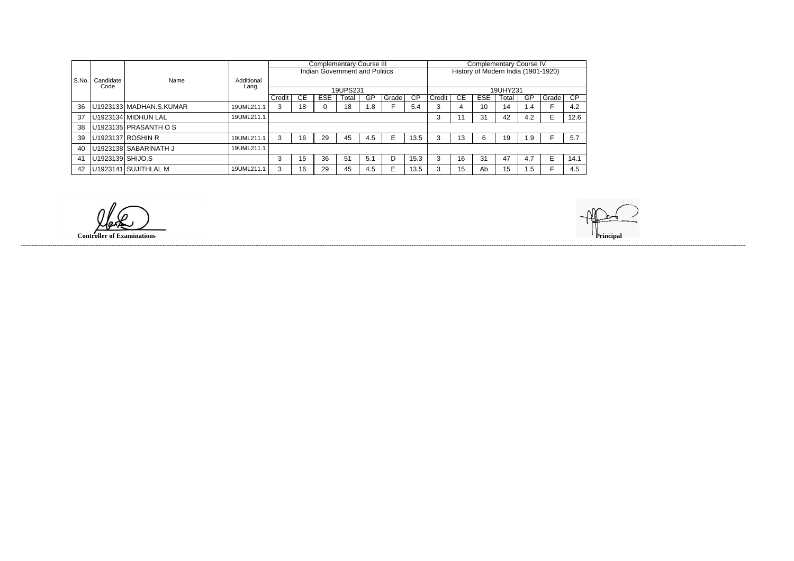|                |                   |                         |                    |        |    |            | <b>Complementary Course III</b>       |     |       |           |                                     | <b>Complementary Course IV</b> |            |       |     |       |           |  |
|----------------|-------------------|-------------------------|--------------------|--------|----|------------|---------------------------------------|-----|-------|-----------|-------------------------------------|--------------------------------|------------|-------|-----|-------|-----------|--|
|                |                   |                         |                    |        |    |            | <b>Indian Government and Politics</b> |     |       |           | History of Modern India (1901-1920) |                                |            |       |     |       |           |  |
| S.No.          | Candidate<br>Code | Name                    | Additional<br>Lang |        |    |            |                                       |     |       |           |                                     |                                |            |       |     |       |           |  |
|                |                   |                         |                    |        |    |            | 19UPS231                              |     |       |           | 19UHY231                            |                                |            |       |     |       |           |  |
|                |                   |                         |                    | Credit | СE | <b>ESE</b> | Total                                 | GP  | Grade | <b>CP</b> | Credit                              | CЕ                             | <b>ESE</b> | Total | GP  | Grade | <b>CP</b> |  |
| -36            |                   | U1923133 MADHAN.S.KUMAR | 19UML211.1         | 3      | 18 |            | 18                                    | 1.8 |       | 5.4       | 3                                   |                                | 10         | 14    | 1.4 |       | 4.2       |  |
| 37             |                   | U1923134 MIDHUN LAL     | 19UML211.1         |        |    |            |                                       |     |       |           | 3                                   |                                | 31         | 42    | 4.2 | E     | 12.6      |  |
| 38             |                   | U1923135 PRASANTH O S   |                    |        |    |            |                                       |     |       |           |                                     |                                |            |       |     |       |           |  |
| 39             |                   | U1923137 ROSHIN R       | 19UML211.1         | 3      | 16 | 29         | 45                                    | 4.5 |       | 13.5      | 3                                   | 13                             | 6          | 19    | 1.9 |       | 5.7       |  |
| -40            |                   | U1923138   SABARINATH J | 19UML211.1         |        |    |            |                                       |     |       |           |                                     |                                |            |       |     |       |           |  |
| 4 <sup>′</sup> | U1923139 SHIJO.S  |                         |                    | 3      | 15 | 36         | 51                                    | 5.1 |       | 15.3      | 3                                   | 16                             | 31         | 47    | 4.7 | E.    | 14.1      |  |
| -42            |                   | U1923141 SUJITHLAL M    | 19UML211.1         | 3      | 16 | 29         | 45                                    | 4.5 |       | 13.5      | 3                                   | 15                             | Ab         | 15    | 1.5 |       | 4.5       |  |

llake **Controller of Examinations**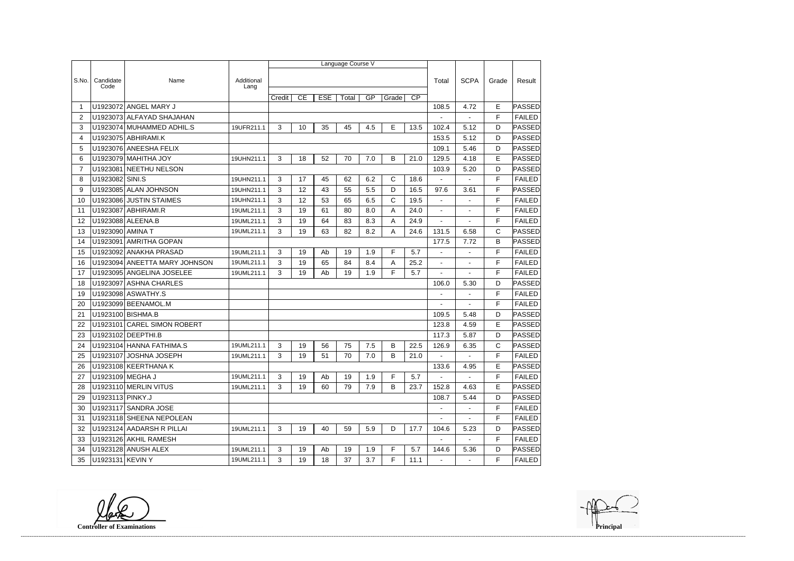|                |                   |                               |                    |        |    |            | Language Course V |     |       |                 |                |                          |              |               |
|----------------|-------------------|-------------------------------|--------------------|--------|----|------------|-------------------|-----|-------|-----------------|----------------|--------------------------|--------------|---------------|
|                |                   |                               |                    |        |    |            |                   |     |       |                 |                |                          |              |               |
| S.No.          | Candidate<br>Code | Name                          | Additional<br>Lang |        |    |            |                   |     |       |                 | Total          | <b>SCPA</b>              | Grade        | Result        |
|                |                   |                               |                    | Credit | CE | <b>ESE</b> | Total             | GP  | Grade | $\overline{CP}$ |                |                          |              |               |
| 1              |                   | U1923072 ANGEL MARY J         |                    |        |    |            |                   |     |       |                 | 108.5          | 4.72                     | E            | PASSED        |
| $\overline{2}$ |                   | U1923073 ALFAYAD SHAJAHAN     |                    |        |    |            |                   |     |       |                 |                | $\overline{\phantom{a}}$ | F            | <b>FAILED</b> |
| 3              |                   | U1923074 MUHAMMED ADHIL.S     | 19UFR211.1         | 3      | 10 | 35         | 45                | 4.5 | E     | 13.5            | 102.4          | 5.12                     | D            | <b>PASSED</b> |
| 4              |                   | U1923075 ABHIRAMI.K           |                    |        |    |            |                   |     |       |                 | 153.5          | 5.12                     | D            | PASSED        |
| 5              |                   | U1923076 ANEESHA FELIX        |                    |        |    |            |                   |     |       |                 | 109.1          | 5.46                     | D            | PASSED        |
| 6              |                   | U1923079 MAHITHA JOY          | 19UHN211.1         | 3      | 18 | 52         | 70                | 7.0 | B     | 21.0            | 129.5          | 4.18                     | E            | <b>PASSED</b> |
| $\overline{7}$ | U1923081          | NEETHU NELSON                 |                    |        |    |            |                   |     |       |                 | 103.9          | 5.20                     | D            | <b>PASSED</b> |
| 8              | U1923082 SINI.S   |                               | 19UHN211.1         | 3      | 17 | 45         | 62                | 6.2 | С     | 18.6            |                |                          | F            | <b>FAILED</b> |
| 9              |                   | U1923085 ALAN JOHNSON         | 19UHN211.1         | 3      | 12 | 43         | 55                | 5.5 | D     | 16.5            | 97.6           | 3.61                     | F            | PASSED        |
| 10             |                   | U1923086 JUSTIN STAIMES       | 19UHN211.1         | 3      | 12 | 53         | 65                | 6.5 | C     | 19.5            |                |                          | F            | <b>FAILED</b> |
| 11             | U1923087          | <b>ABHIRAMI.R</b>             | 19UML211.1         | 3      | 19 | 61         | 80                | 8.0 | A     | 24.0            |                |                          | F            | <b>FAILED</b> |
| 12             |                   | U1923088 ALEENA.B             | 19UML211.1         | 3      | 19 | 64         | 83                | 8.3 | A     | 24.9            | $\blacksquare$ | $\blacksquare$           | F            | <b>FAILED</b> |
| 13             | U1923090 AMINA T  |                               | 19UML211.1         | 3      | 19 | 63         | 82                | 8.2 | А     | 24.6            | 131.5          | 6.58                     | $\mathsf{C}$ | <b>PASSED</b> |
| 14             | U1923091          | <b>AMRITHA GOPAN</b>          |                    |        |    |            |                   |     |       |                 | 177.5          | 7.72                     | B            | PASSED        |
| 15             | U1923092          | <b>ANAKHA PRASAD</b>          | 19UML211.1         | 3      | 19 | Ab         | 19                | 1.9 | F.    | 5.7             |                |                          | F            | <b>FAILED</b> |
| 16             |                   | U1923094 ANEETTA MARY JOHNSON | 19UML211.1         | 3      | 19 | 65         | 84                | 8.4 | A     | 25.2            | $\blacksquare$ |                          | F            | <b>FAILED</b> |
| 17             |                   | U1923095 ANGELINA JOSELEE     | 19UML211.1         | 3      | 19 | Ab         | 19                | 1.9 | F.    | 5.7             |                | ÷                        | F            | <b>FAILED</b> |
| 18             | U1923097          | <b>ASHNA CHARLES</b>          |                    |        |    |            |                   |     |       |                 | 106.0          | 5.30                     | D            | PASSED        |
| 19             |                   | U1923098 ASWATHY.S            |                    |        |    |            |                   |     |       |                 | $\blacksquare$ | ä,                       | F            | <b>FAILED</b> |
| 20             | U1923099          | BEENAMOL.M                    |                    |        |    |            |                   |     |       |                 |                |                          | F            | <b>FAILED</b> |
| 21             |                   | U1923100 BISHMA.B             |                    |        |    |            |                   |     |       |                 | 109.5          | 5.48                     | D            | <b>PASSED</b> |
| 22             | U1923101          | <b>CAREL SIMON ROBERT</b>     |                    |        |    |            |                   |     |       |                 | 123.8          | 4.59                     | E            | PASSED        |
| 23             |                   | U1923102 DEEPTHI.B            |                    |        |    |            |                   |     |       |                 | 117.3          | 5.87                     | D            | <b>PASSED</b> |
| 24             |                   | U1923104 HANNA FATHIMA.S      | 19UML211.1         | 3      | 19 | 56         | 75                | 7.5 | B     | 22.5            | 126.9          | 6.35                     | C            | <b>PASSED</b> |
| 25             |                   | U1923107 JOSHNA JOSEPH        | 19UML211.1         | 3      | 19 | 51         | 70                | 7.0 | B     | 21.0            |                |                          | F            | <b>FAILED</b> |
| 26             |                   | U1923108 KEERTHANA K          |                    |        |    |            |                   |     |       |                 | 133.6          | 4.95                     | E            | PASSED        |
| 27             | U1923109 MEGHA J  |                               | 19UML211.1         | 3      | 19 | Ab         | 19                | 1.9 | F.    | 5.7             | $\sim$         | $\sim$                   | F            | <b>FAILED</b> |
| 28             |                   | U1923110 MERLIN VITUS         | 19UML211.1         | 3      | 19 | 60         | 79                | 7.9 | B     | 23.7            | 152.8          | 4.63                     | E            | <b>PASSED</b> |
| 29             | U1923113 PINKY.J  |                               |                    |        |    |            |                   |     |       |                 | 108.7          | 5.44                     | D            | <b>PASSED</b> |
| 30             |                   | U1923117 SANDRA JOSE          |                    |        |    |            |                   |     |       |                 | $\blacksquare$ | $\blacksquare$           | F            | <b>FAILED</b> |
| 31             |                   | U1923118 SHEENA NEPOLEAN      |                    |        |    |            |                   |     |       |                 |                |                          | F            | <b>FAILED</b> |
| 32             |                   | U1923124 AADARSH R PILLAI     | 19UML211.1         | 3      | 19 | 40         | 59                | 5.9 | D     | 17.7            | 104.6          | 5.23                     | D            | <b>PASSED</b> |
| 33             |                   | U1923126 AKHIL RAMESH         |                    |        |    |            |                   |     |       |                 |                |                          | F            | <b>FAILED</b> |
| 34             |                   | U1923128 ANUSH ALEX           | 19UML211.1         | 3      | 19 | Ab         | 19                | 1.9 | F     | 5.7             | 144.6          | 5.36                     | D            | <b>PASSED</b> |
| 35             | U1923131 KEVIN Y  |                               | 19UML211.1         | 3      | 19 | 18         | 37                | 3.7 | F.    | 11.1            | $\blacksquare$ | $\blacksquare$           | F            | <b>FAILED</b> |

**Controller of Examinations**